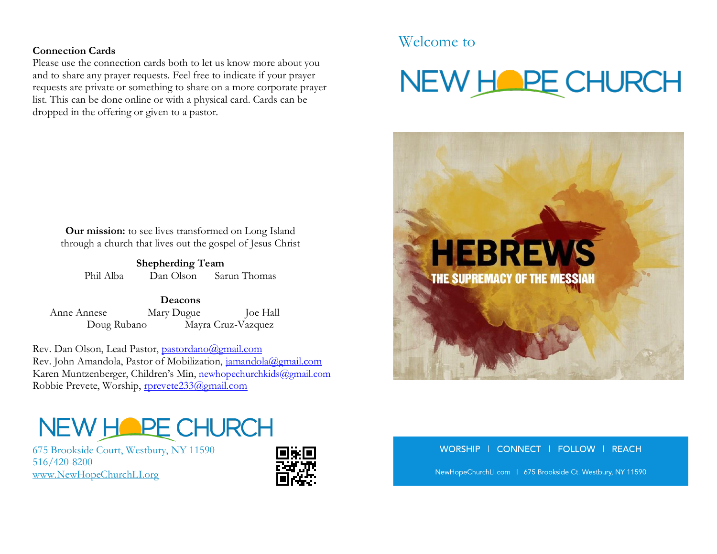### **Connection Cards**

Please use the connection cards both to let us know more about you and to share any prayer requests. Feel free to indicate if your prayer requests are private or something to share on a more corporate prayer list. This can be done online or with a physical card. Cards can be dropped in the offering or given to a pastor.

**Our mission:** to see lives transformed on Long Island through a church that lives out the gospel of Jesus Christ

**Shepherding Team** Phil Alba Dan Olson Sarun Thomas

**Deacons** Anne Annese Mary Dugue Joe Hall Doug Rubano Mayra Cruz-Vazquez

Rev. Dan Olson, Lead Pastor, [pastordano@gmail.com](mailto:pastordano@gmail.com) Rev. John Amandola, Pastor of Mobilization, [jamandola@gmail.com](mailto:jamandola@gmail.com) Karen Muntzenberger, Children's Min, [newhopechurchkids@gmail.com](mailto:newhopechurchkids@gmail.com) Robbie Prevete, Worship, [rprevete233@gmail.com](mailto:rprevete233@gmail.com)

# Welcome to

# NEW HOPE CHURCH



## NEW HOPE CHURCH

675 Brookside Court, Westbury, NY 11590 516/420-8200 [www.NewHopeChurchLI.org](http://www.newhopechurchli.org/) 



### WORSHIP | CONNECT | FOLLOW | REACH

NewHopeChurchLI.com | 675 Brookside Ct. Westbury, NY 11590